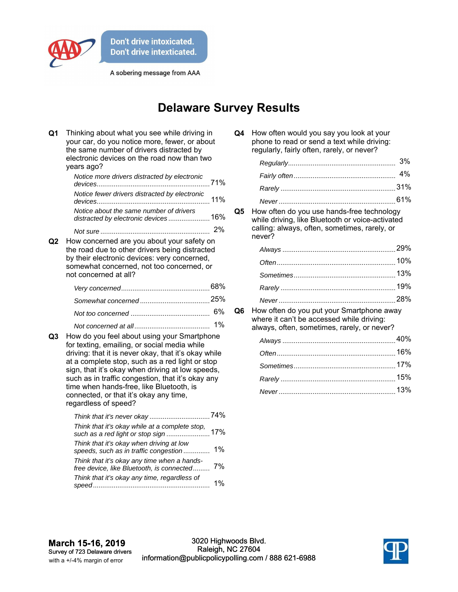

A sobering message from AAA

## **Delaware Survey Results**

| Q <sub>1</sub> | Thinking about what you see while driving in<br>your car, do you notice more, fewer, or about<br>the same number of drivers distracted by<br>electronic devices on the road now than two<br>years ago?                                                                                                                                                                                                                              |    |
|----------------|-------------------------------------------------------------------------------------------------------------------------------------------------------------------------------------------------------------------------------------------------------------------------------------------------------------------------------------------------------------------------------------------------------------------------------------|----|
|                | Notice more drivers distracted by electronic                                                                                                                                                                                                                                                                                                                                                                                        |    |
|                | Notice fewer drivers distracted by electronic                                                                                                                                                                                                                                                                                                                                                                                       |    |
|                | Notice about the same number of drivers<br>distracted by electronic devices 16%                                                                                                                                                                                                                                                                                                                                                     |    |
|                |                                                                                                                                                                                                                                                                                                                                                                                                                                     |    |
| Q2             | How concerned are you about your safety on<br>the road due to other drivers being distracted<br>by their electronic devices: very concerned,<br>somewhat concerned, not too concerned, or<br>not concerned at all?                                                                                                                                                                                                                  |    |
|                |                                                                                                                                                                                                                                                                                                                                                                                                                                     |    |
|                |                                                                                                                                                                                                                                                                                                                                                                                                                                     |    |
|                |                                                                                                                                                                                                                                                                                                                                                                                                                                     | 6% |
| Q3             | 1%<br>How do you feel about using your Smartphone<br>for texting, emailing, or social media while<br>driving: that it is never okay, that it's okay while<br>at a complete stop, such as a red light or stop<br>sign, that it's okay when driving at low speeds,<br>such as in traffic congestion, that it's okay any<br>time when hands-free, like Bluetooth, is<br>connected, or that it's okay any time,<br>regardless of speed? |    |
|                | Think that it's okay while at a complete stop,                                                                                                                                                                                                                                                                                                                                                                                      |    |
|                | Think that it's okay when driving at low<br>speeds, such as in traffic congestion                                                                                                                                                                                                                                                                                                                                                   | 1% |
|                | Think that it's okay any time when a hands-<br>free device, like Bluetooth, is connected                                                                                                                                                                                                                                                                                                                                            | 7% |
|                | Think that it's okay any time, regardless of                                                                                                                                                                                                                                                                                                                                                                                        | 1% |

| Q4 | How often would you say you look at your    |
|----|---------------------------------------------|
|    | phone to read or send a text while driving: |
|    | regularly, fairly often, rarely, or never?  |

**Q5** How often do you use hands-free technology while driving, like Bluetooth or voice-activated calling: always, often, sometimes, rarely, or never?

**Q6** How often do you put your Smartphone away where it can't be accessed while driving: always, often, sometimes, rarely, or never?